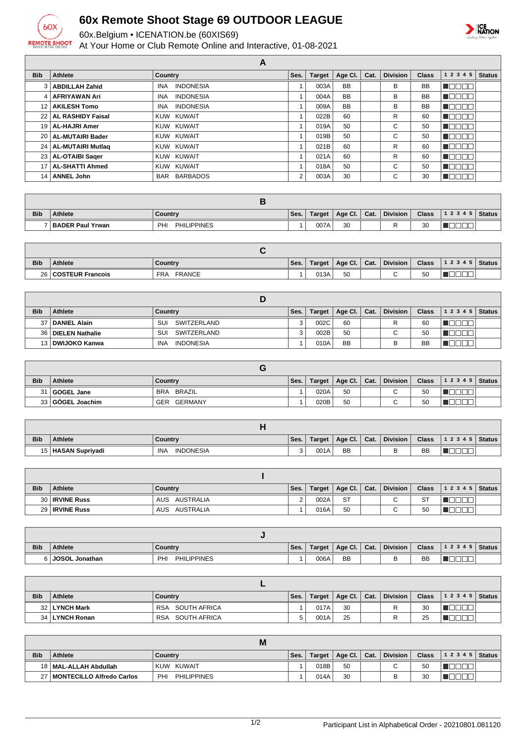

## **60x Remote Shoot Stage 69 OUTDOOR LEAGUE**

60x.Belgium • ICENATION.be (60XIS69)

At Your Home or Club Remote Online and Interactive, 01-08-2021



|                 |                        | А                              |      |               |           |      |                 |              |                |               |
|-----------------|------------------------|--------------------------------|------|---------------|-----------|------|-----------------|--------------|----------------|---------------|
| <b>Bib</b>      | <b>Athlete</b>         | Country                        | Ses. | <b>Target</b> | Age Cl.   | Cat. | <b>Division</b> | <b>Class</b> | 1 2 3 4 5      | <b>Status</b> |
| $\mathbf{3}$    | <b>ABDILLAH Zahid</b>  | <b>INDONESIA</b><br><b>INA</b> |      | 003A          | <b>BB</b> |      | В               | <b>BB</b>    | - II           |               |
| $\vert$ 4       | AFRIYAWAN Ari          | <b>INDONESIA</b><br><b>INA</b> |      | 004A          | <b>BB</b> |      | В               | <b>BB</b>    | UUUL           |               |
| 12 <sub>1</sub> | <b>AKILESH Tomo</b>    | <b>INDONESIA</b><br>INA        |      | 009A          | <b>BB</b> |      | В               | <b>BB</b>    | <b>V</b> LIDE. |               |
|                 | 22   AL RASHIDY Faisal | KUW KUWAIT                     |      | 022B          | 60        |      | R               | 60           | <b>VLIDEL</b>  |               |
|                 | 19   AL-HAJRI Amer     | KUW KUWAIT                     |      | 019A          | 50        |      | С               | 50           | VOODL          |               |
|                 | 20   AL-MUTAIRI Bader  | KUW KUWAIT                     |      | 019B          | 50        |      | С               | 50           | <b>SEEDED</b>  |               |
|                 | 24   AL-MUTAIRI Mutlag | KUW KUWAIT                     |      | 021B          | 60        |      | R               | 60           | VOODL          |               |
|                 | 23   AL-OTAIBI Sager   | KUW KUWAIT                     |      | 021A          | 60        |      | R               | 60           | TOOOL          |               |
|                 | 17   AL-SHATTI Ahmed   | KUW KUWAIT                     |      | 018A          | 50        |      | С               | 50           | I O O O O      |               |
| 14              | <b>ANNEL John</b>      | BAR BARBADOS                   | 2    | 003A          | 30        |      | С               | 30           | ╦<br>1000      |               |

| <b>Bib</b> | <b>Athlete</b>     | Country                   | Ses. | Target | $\Delta$ ge Cl. | Cat. | <b>Division</b> | <b>Class</b> | 1 2 3 4 5 | <b>Status</b> |
|------------|--------------------|---------------------------|------|--------|-----------------|------|-----------------|--------------|-----------|---------------|
|            | 7 BADER Paul Yrwan | <b>PHILIPPINES</b><br>PHI |      | 007A   | 30              |      |                 | 30           |           |               |

| <b>Bib</b> | <b>Athlete</b>      | Country                     | Ses. | Target | Age Cl. | Cat. | Division | <b>Class</b> | 1 2 3 4 5 | Status |
|------------|---------------------|-----------------------------|------|--------|---------|------|----------|--------------|-----------|--------|
|            | 26 COSTEUR Francois | <b>FRANCE</b><br><b>FRA</b> |      | 013A   | 50      |      |          | 50           |           |        |

| <b>Bib</b> | <b>Athlete</b>       | Country                 | Ses. | <b>Target</b> | Age Cl. $ $ | Cat. | <b>Division</b> | <b>Class</b> | $ 12345 $ Status |  |
|------------|----------------------|-------------------------|------|---------------|-------------|------|-----------------|--------------|------------------|--|
|            | 37   DANIEL Alain    | SUI<br>SWITZERLAND      | વ    | 002C          | 60          |      | R               | 60           |                  |  |
|            | 36   DIELEN Nathalie | SUI<br>SWITZERLAND      |      | 002B          | 50          |      |                 | 50           |                  |  |
|            | 13 DWIJOKO Kanwa     | <b>INDONESIA</b><br>INA |      | 010A          | <b>BB</b>   |      |                 | BB           |                  |  |

| <b>Bib</b> | <b>Athlete</b>     | Country              | Ses. | <b>Target</b> | Age Cl.   Cat. | <b>Division</b> | <b>Class</b> | $12345$ Status |  |
|------------|--------------------|----------------------|------|---------------|----------------|-----------------|--------------|----------------|--|
|            | 31 GOGEL Jane      | BRAZIL<br><b>BRA</b> |      | 020A          | 50             | ⌒               | 50           |                |  |
|            | 33   GÖGEL Joachim | GERMANY<br>GER       |      | 020B          | 50             |                 | 50           |                |  |

| <b>Bib</b> | <b>Athlete</b>       | Country                 | Ses.   | Target | Age CI.   | Cat. | Division | <b>Class</b> | 1 2 3 4 5   Status |  |
|------------|----------------------|-------------------------|--------|--------|-----------|------|----------|--------------|--------------------|--|
|            | 15   HASAN Supriyadi | <b>INDONESIA</b><br>INA | າ<br>J | 001A   | <b>BB</b> |      |          | <b>BB</b>    |                    |  |

| <b>Bib</b> | Athlete               | Country          | Ses. | Target | Age Cl.   Cat. | <b>Division</b>          | <b>Class</b> | 1 2 3 4 5   Status |  |
|------------|-----------------------|------------------|------|--------|----------------|--------------------------|--------------|--------------------|--|
|            | 30 <b>IRVINE Russ</b> | AUSTRALIA<br>AUS | ∠    | 002A   | <b>ST</b>      | $\overline{\phantom{0}}$ | ST           |                    |  |
|            | 29   IRVINE Russ      | AUSTRALIA<br>AUS |      | 016A   | 50             |                          | 50           |                    |  |

| <b>Bib</b> | <b>Athlete</b>        | Country                   | Ses. | <b>Target</b> | Age CI.   | Cat. | <b>Division</b> | <b>Class</b> | 12345 | Status |
|------------|-----------------------|---------------------------|------|---------------|-----------|------|-----------------|--------------|-------|--------|
| 61         | <b>JOSOL Jonathan</b> | <b>PHILIPPINES</b><br>PHI |      | 006A          | <b>BB</b> |      | ັ               | BB           | ___   |        |

| <b>Bib</b> | <b>Athlete</b> | Country                    | Ses. | Target | Age Cl. $ $ | Cat. | <b>Division</b> | Class,   | $12345$ Status |  |
|------------|----------------|----------------------------|------|--------|-------------|------|-----------------|----------|----------------|--|
|            | 32 LYNCH Mark  | SOUTH AFRICA<br><b>RSA</b> |      | 017A   | 30          |      | רו              | 30       |                |  |
|            | 34 LYNCH Ronan | SOUTH AFRICA<br><b>RSA</b> |      | 001A   | 25          |      |                 | つら<br>ںے |                |  |

|            |                           | Μ                         |      |      |                         |                 |              |                  |  |
|------------|---------------------------|---------------------------|------|------|-------------------------|-----------------|--------------|------------------|--|
| <b>Bib</b> | <b>Athlete</b>            | Country                   | Ses. |      | Target   Age Cl.   Cat. | <b>Division</b> | <b>Class</b> | $ 12345 $ Status |  |
|            | 18   MAL-ALLAH Abdullah   | KUW KUWAIT                |      | 018B | 50                      | $\sim$          | 50           |                  |  |
| ר ה        | MONTECILLO Alfredo Carlos | <b>PHILIPPINES</b><br>PHI |      | 014A | 30                      |                 | 30           |                  |  |